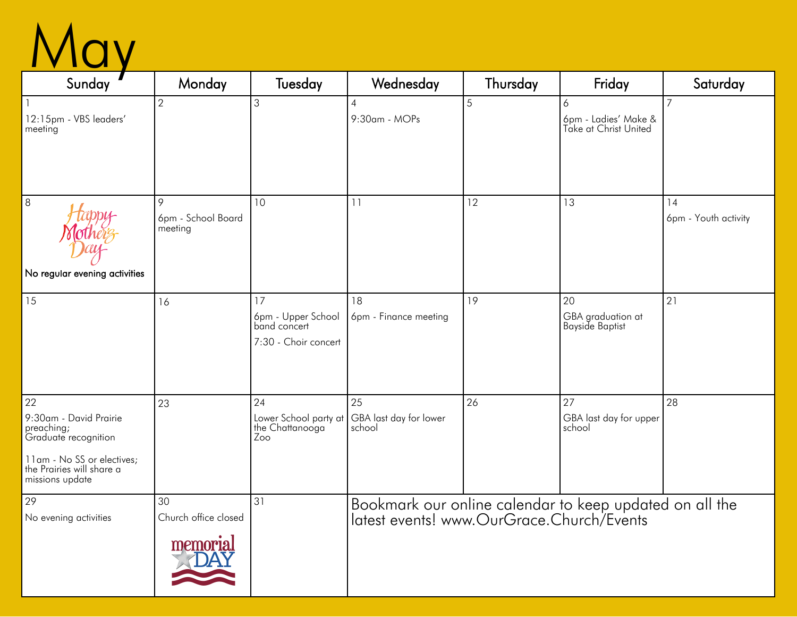

| Sunday                                                                                                                                           | Monday                                | Tuesday                                                          | Wednesday                                                                                            | Thursday | Friday                                             | Saturday                   |
|--------------------------------------------------------------------------------------------------------------------------------------------------|---------------------------------------|------------------------------------------------------------------|------------------------------------------------------------------------------------------------------|----------|----------------------------------------------------|----------------------------|
| 12:15pm - VBS leaders'<br>meeting                                                                                                                | $\overline{2}$                        | 3                                                                | $\overline{4}$<br>9:30am - MOPs                                                                      | 5        | 6<br>6pm - Ladies' Make &<br>Take at Christ United | $\overline{7}$             |
| $\boldsymbol{8}$<br>No regular evening activities                                                                                                | 9<br>6pm - School Board<br>meeting    | 10                                                               | 11                                                                                                   | 12       | 13                                                 | 14<br>6pm - Youth activity |
| 15                                                                                                                                               | 16                                    | 17<br>6pm - Upper School<br>band concert<br>7:30 - Choir concert | 18<br>6pm - Finance meeting                                                                          | 19       | 20<br>GBA graduation at<br><b>Bayside Baptist</b>  | 21                         |
| 22<br>9:30am - David Prairie<br>preaching;<br>Graduate recognition<br>11am - No SS or electives;<br>the Prairies will share a<br>missions update | 23                                    | 24<br>Lower School party at<br>the Chattanooga<br>Zoo            | 25<br>GBA last day for lower<br>school                                                               | 26       | 27<br>GBA last day for upper<br>school             | 28                         |
| 29<br>No evening activities                                                                                                                      | 30<br>Church office closed<br>memoria | 31                                                               | Bookmark our online calendar to keep updated on all the<br>latest events! www.OurGrace.Church/Events |          |                                                    |                            |